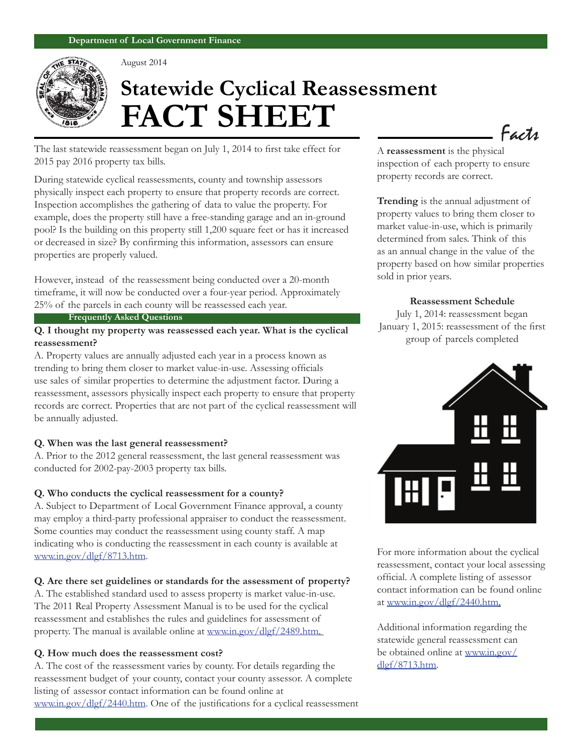

August 2014

# **Statewide Cyclical Reassessment FACT SHEET**

The last statewide reassessment began on July 1, 2014 to first take effect for 2015 pay 2016 property tax bills.

During statewide cyclical reassessments, county and township assessors physically inspect each property to ensure that property records are correct. Inspection accomplishes the gathering of data to value the property. For example, does the property still have a free-standing garage and an in-ground pool? Is the building on this property still 1,200 square feet or has it increased or decreased in size? By confirming this information, assessors can ensure properties are properly valued.

However, instead of the reassessment being conducted over a 20-month timeframe, it will now be conducted over a four-year period. Approximately 25% of the parcels in each county will be reassessed each year.

#### **Frequently Asked Questions**

### **Q. I thought my property was reassessed each year. What is the cyclical reassessment?**

A. Property values are annually adjusted each year in a process known as trending to bring them closer to market value-in-use. Assessing officials use sales of similar properties to determine the adjustment factor. During a reassessment, assessors physically inspect each property to ensure that property records are correct. Properties that are not part of the cyclical reassessment will be annually adjusted.

#### **Q. When was the last general reassessment?**

A. Prior to the 2012 general reassessment, the last general reassessment was conducted for 2002-pay-2003 property tax bills.

#### **Q. Who conducts the cyclical reassessment for a county?**

A. Subject to Department of Local Government Finance approval, a county may employ a third-party professional appraiser to conduct the reassessment. Some counties may conduct the reassessment using county staff. A map indicating who is conducting the reassessment in each county is available at www.in.gov/dlgf/8713.htm.

#### **Q. Are there set guidelines or standards for the assessment of property?**

A. The established standard used to assess property is market value-in-use. The 2011 Real Property Assessment Manual is to be used for the cyclical reassessment and establishes the rules and guidelines for assessment of property. The manual is available online at www.in.gov/dlgf/2489.htm.

#### **Q. How much does the reassessment cost?**

A. The cost of the reassessment varies by county. For details regarding the reassessment budget of your county, contact your county assessor. A complete listing of assessor contact information can be found online at www.in.gov/dlgf/2440.htm. One of the justifications for a cyclical reassessment A **reassessment** is the physical inspection of each property to ensure property records are correct.

Facts

**Trending** is the annual adjustment of property values to bring them closer to market value-in-use, which is primarily determined from sales. Think of this as an annual change in the value of the property based on how similar properties sold in prior years.

#### **Reassessment Schedule**

July 1, 2014: reassessment began January 1, 2015: reassessment of the first group of parcels completed



For more information about the cyclical reassessment, contact your local assessing official. A complete listing of assessor contact information can be found online at www.in.gov/dlgf/2440.htm.

Additional information regarding the statewide general reassessment can be obtained online at www.in.gov/ dlgf/8713.htm.